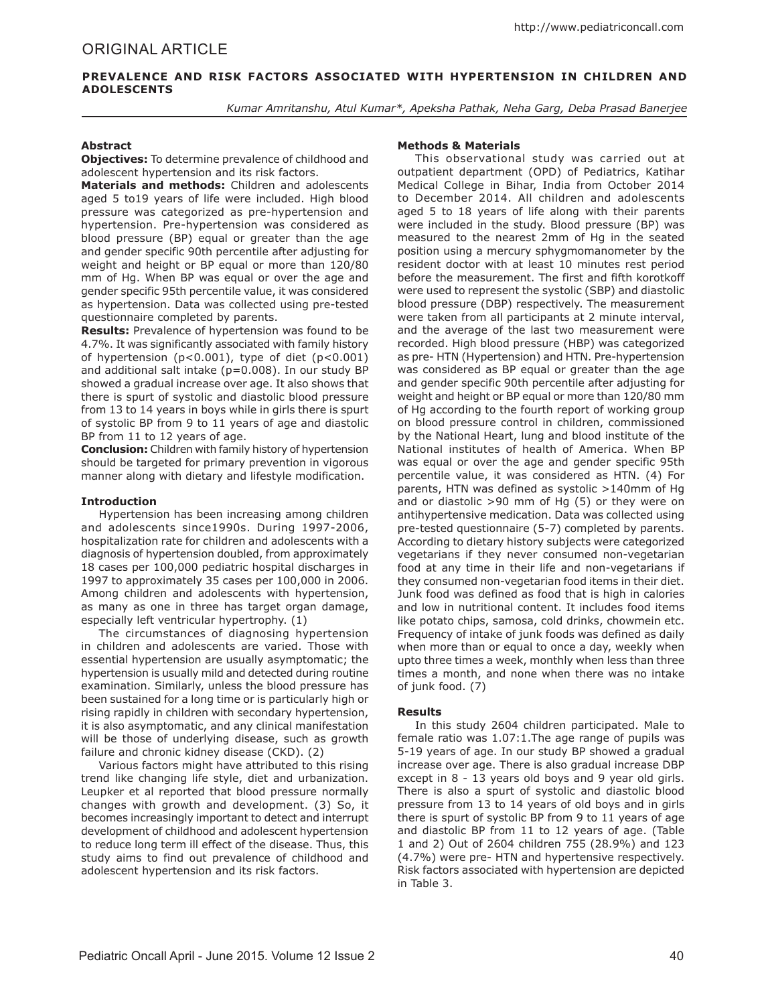### **PREVALENCE AND RISK FACTORS ASSOCIATED WITH HYPERTENSION IN CHILDREN AND ADOLESCENTS**

*Kumar Amritanshu, Atul Kumar\*, Apeksha Pathak, Neha Garg, Deba Prasad Banerjee*

### **Abstract**

**Objectives:** To determine prevalence of childhood and adolescent hypertension and its risk factors.

**Materials and methods:** Children and adolescents aged 5 to19 years of life were included. High blood pressure was categorized as pre-hypertension and hypertension. Pre-hypertension was considered as blood pressure (BP) equal or greater than the age and gender specific 90th percentile after adjusting for weight and height or BP equal or more than 120/80 mm of Hg. When BP was equal or over the age and gender specific 95th percentile value, it was considered as hypertension. Data was collected using pre-tested questionnaire completed by parents.

**Results:** Prevalence of hypertension was found to be 4.7%. It was significantly associated with family history of hypertension (p<0.001), type of diet (p<0.001) and additional salt intake (p=0.008). In our study BP showed a gradual increase over age. It also shows that there is spurt of systolic and diastolic blood pressure from 13 to 14 years in boys while in girls there is spurt of systolic BP from 9 to 11 years of age and diastolic BP from 11 to 12 years of age.

**Conclusion:** Children with family history of hypertension should be targeted for primary prevention in vigorous manner along with dietary and lifestyle modification.

#### **Introduction**

Hypertension has been increasing among children and adolescents since1990s. During 1997-2006, hospitalization rate for children and adolescents with a diagnosis of hypertension doubled, from approximately 18 cases per 100,000 pediatric hospital discharges in 1997 to approximately 35 cases per 100,000 in 2006. Among children and adolescents with hypertension, as many as one in three has target organ damage, especially left ventricular hypertrophy. (1)

The circumstances of diagnosing hypertension in children and adolescents are varied. Those with essential hypertension are usually asymptomatic; the hypertension is usually mild and detected during routine examination. Similarly, unless the blood pressure has been sustained for a long time or is particularly high or rising rapidly in children with secondary hypertension, it is also asymptomatic, and any clinical manifestation will be those of underlying disease, such as growth failure and chronic kidney disease (CKD). (2)

Various factors might have attributed to this rising trend like changing life style, diet and urbanization. Leupker et al reported that blood pressure normally changes with growth and development. (3) So, it becomes increasingly important to detect and interrupt development of childhood and adolescent hypertension to reduce long term ill effect of the disease. Thus, this study aims to find out prevalence of childhood and adolescent hypertension and its risk factors.

#### **Methods & Materials**

This observational study was carried out at outpatient department (OPD) of Pediatrics, Katihar Medical College in Bihar, India from October 2014 to December 2014. All children and adolescents aged 5 to 18 years of life along with their parents were included in the study. Blood pressure (BP) was measured to the nearest 2mm of Hg in the seated position using a mercury sphygmomanometer by the resident doctor with at least 10 minutes rest period before the measurement. The first and fifth korotkoff were used to represent the systolic (SBP) and diastolic blood pressure (DBP) respectively. The measurement were taken from all participants at 2 minute interval, and the average of the last two measurement were recorded. High blood pressure (HBP) was categorized as pre- HTN (Hypertension) and HTN. Pre-hypertension was considered as BP equal or greater than the age and gender specific 90th percentile after adjusting for weight and height or BP equal or more than 120/80 mm of Hg according to the fourth report of working group on blood pressure control in children, commissioned by the National Heart, lung and blood institute of the National institutes of health of America. When BP was equal or over the age and gender specific 95th percentile value, it was considered as HTN. (4) For parents, HTN was defined as systolic >140mm of Hg and or diastolic >90 mm of Hg (5) or they were on antihypertensive medication. Data was collected using pre-tested questionnaire (5-7) completed by parents. According to dietary history subjects were categorized vegetarians if they never consumed non-vegetarian food at any time in their life and non-vegetarians if they consumed non-vegetarian food items in their diet. Junk food was defined as food that is high in calories and low in nutritional content. It includes food items like potato chips, samosa, cold drinks, chowmein etc. Frequency of intake of junk foods was defined as daily when more than or equal to once a day, weekly when upto three times a week, monthly when less than three times a month, and none when there was no intake of junk food. (7)

#### **Results**

In this study 2604 children participated. Male to female ratio was 1.07:1.The age range of pupils was 5-19 years of age. In our study BP showed a gradual increase over age. There is also gradual increase DBP except in 8 - 13 years old boys and 9 year old girls. There is also a spurt of systolic and diastolic blood pressure from 13 to 14 years of old boys and in girls there is spurt of systolic BP from 9 to 11 years of age and diastolic BP from 11 to 12 years of age. (Table 1 and 2) Out of 2604 children 755 (28.9%) and 123 (4.7%) were pre- HTN and hypertensive respectively. Risk factors associated with hypertension are depicted in Table 3.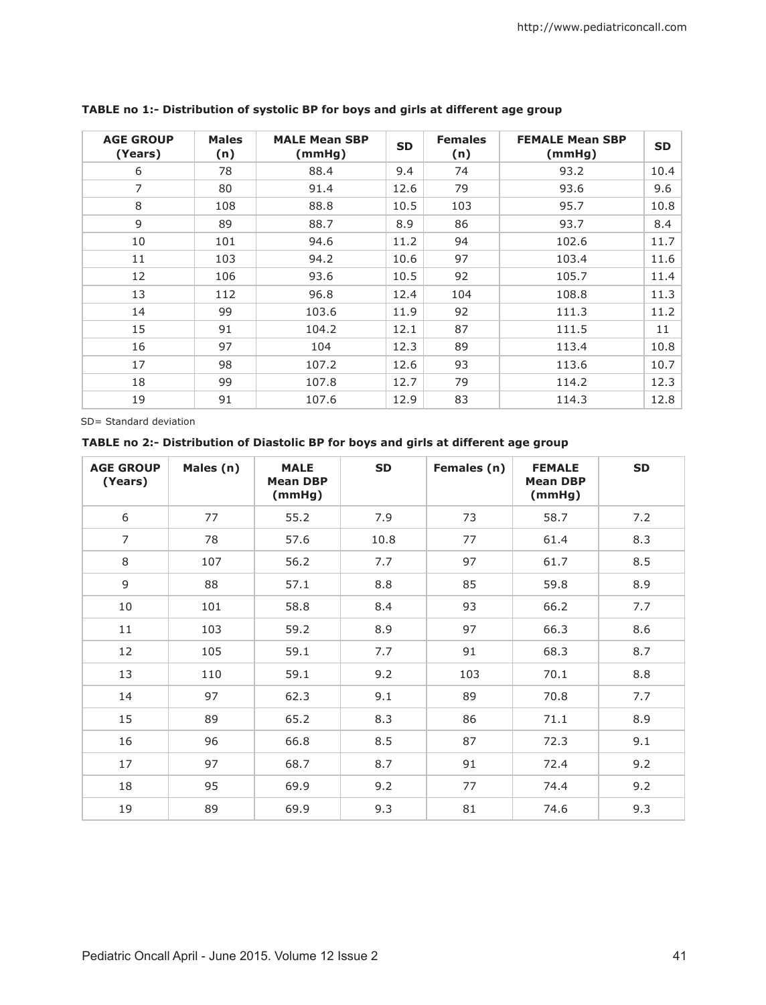| <b>AGE GROUP</b><br>(Years) | <b>Males</b><br>(n) | <b>MALE Mean SBP</b><br>(mmHg) | <b>SD</b> | <b>Females</b><br>(n) | <b>FEMALE Mean SBP</b><br>(mmHg) | <b>SD</b> |
|-----------------------------|---------------------|--------------------------------|-----------|-----------------------|----------------------------------|-----------|
| 6                           | 78                  | 88.4                           | 9.4       | 74                    | 93.2                             | 10.4      |
| 7                           | 80                  | 91.4                           | 12.6      | 79                    | 93.6                             | 9.6       |
| 8                           | 108                 | 88.8                           | 10.5      | 103                   | 95.7                             | 10.8      |
| 9                           | 89                  | 88.7                           | 8.9       | 86                    | 93.7                             | 8.4       |
| 10                          | 101                 | 94.6                           | 11.2      | 94                    | 102.6                            | 11.7      |
| 11                          | 103                 | 94.2                           | 10.6      | 97                    | 103.4                            | 11.6      |
| 12                          | 106                 | 93.6                           | 10.5      | 92                    | 105.7                            | 11.4      |
| 13                          | 112                 | 96.8                           | 12.4      | 104                   | 108.8                            | 11.3      |
| 14                          | 99                  | 103.6                          | 11.9      | 92                    | 111.3                            | 11.2      |
| 15                          | 91                  | 104.2                          | 12.1      | 87                    | 111.5                            | 11        |
| 16                          | 97                  | 104                            | 12.3      | 89                    | 113.4                            | 10.8      |
| 17                          | 98                  | 107.2                          | 12.6      | 93                    | 113.6                            | 10.7      |
| 18                          | 99                  | 107.8                          | 12.7      | 79                    | 114.2                            | 12.3      |
| 19                          | 91                  | 107.6                          | 12.9      | 83                    | 114.3                            | 12.8      |

## **TABLE no 1:- Distribution of systolic BP for boys and girls at different age group**

SD= Standard deviation

## **TABLE no 2:- Distribution of Diastolic BP for boys and girls at different age group**

| <b>AGE GROUP</b><br>(Years) | Males (n) | <b>MALE</b><br><b>Mean DBP</b><br>(mmHg) | <b>SD</b> | Females (n) | <b>FEMALE</b><br><b>Mean DBP</b><br>(mmHg) | <b>SD</b> |
|-----------------------------|-----------|------------------------------------------|-----------|-------------|--------------------------------------------|-----------|
| 6                           | 77        | 55.2                                     | 7.9       | 73          | 58.7                                       | 7.2       |
| $\overline{7}$              | 78        | 57.6                                     | 10.8      | 77          | 61.4                                       | 8.3       |
| 8                           | 107       | 56.2                                     | 7.7       | 97          | 61.7                                       | 8.5       |
| 9                           | 88        | 57.1                                     | 8.8       | 85          | 59.8                                       | 8.9       |
| 10                          | 101       | 58.8                                     | 8.4       | 93          | 66.2                                       | 7.7       |
| 11                          | 103       | 59.2                                     | 8.9       | 97          | 66.3                                       | 8.6       |
| 12                          | 105       | 59.1                                     | 7.7       | 91          | 68.3                                       | 8.7       |
| 13                          | 110       | 59.1                                     | 9.2       | 103         | 70.1                                       | 8.8       |
| 14                          | 97        | 62.3                                     | 9.1       | 89          | 70.8                                       | 7.7       |
| 15                          | 89        | 65.2                                     | 8.3       | 86          | 71.1                                       | 8.9       |
| 16                          | 96        | 66.8                                     | 8.5       | 87          | 72.3                                       | 9.1       |
| 17                          | 97        | 68.7                                     | 8.7       | 91          | 72.4                                       | 9.2       |
| 18                          | 95        | 69.9                                     | 9.2       | 77          | 74.4                                       | 9.2       |
| 19                          | 89        | 69.9                                     | 9.3       | 81          | 74.6                                       | 9.3       |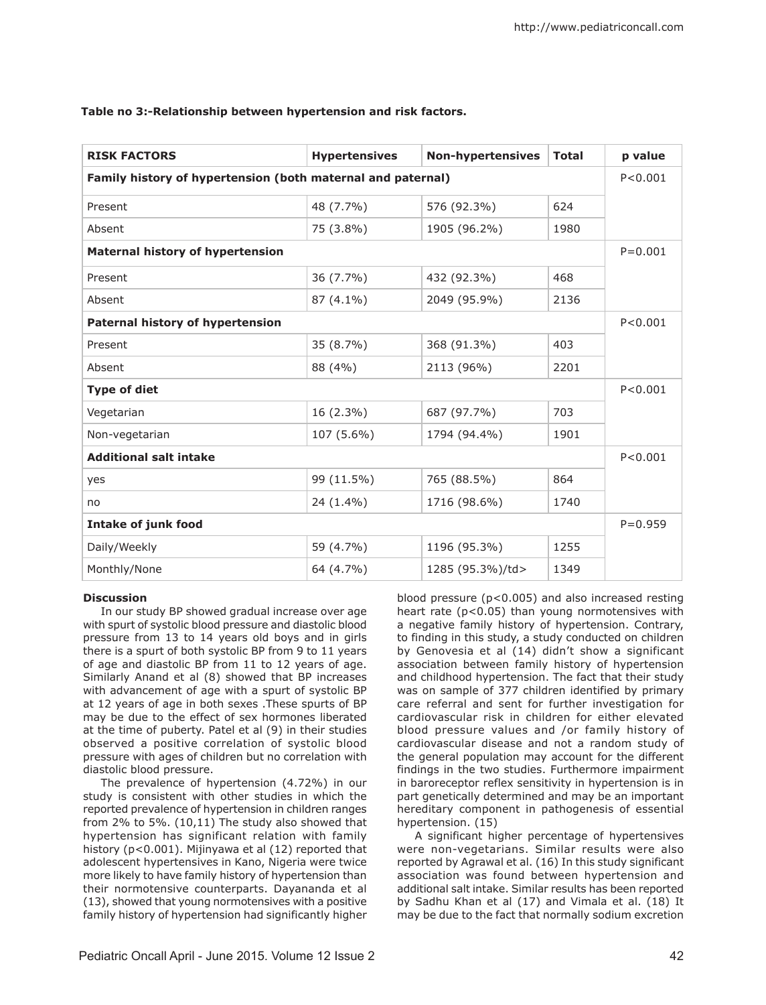| <b>RISK FACTORS</b>                                         | <b>Hypertensives</b> | <b>Non-hypertensives</b> | <b>Total</b> | p value |  |  |
|-------------------------------------------------------------|----------------------|--------------------------|--------------|---------|--|--|
| Family history of hypertension (both maternal and paternal) |                      |                          |              |         |  |  |
| Present                                                     | 48 (7.7%)            | 576 (92.3%)              | 624          |         |  |  |
| Absent                                                      | 75 (3.8%)            | 1905 (96.2%)             | 1980         |         |  |  |
| <b>Maternal history of hypertension</b>                     |                      |                          |              |         |  |  |
| Present                                                     | 36 (7.7%)            | 432 (92.3%)              | 468          |         |  |  |
| Absent                                                      | $87(4.1\%)$          | 2049 (95.9%)             | 2136         |         |  |  |
| Paternal history of hypertension                            |                      |                          |              |         |  |  |
| Present                                                     | 35 (8.7%)            | 368 (91.3%)              | 403          |         |  |  |
| Absent                                                      | 88 (4%)              | 2113 (96%)               | 2201         |         |  |  |
| <b>Type of diet</b>                                         |                      |                          |              |         |  |  |
| Vegetarian                                                  | 16 (2.3%)            | 687 (97.7%)              | 703          |         |  |  |
| Non-vegetarian                                              | 107 (5.6%)           | 1794 (94.4%)             | 1901         |         |  |  |
| <b>Additional salt intake</b>                               |                      |                          |              |         |  |  |
| yes                                                         | 99 (11.5%)           | 765 (88.5%)              | 864          |         |  |  |
| no                                                          | 24 (1.4%)            | 1716 (98.6%)             | 1740         |         |  |  |
| <b>Intake of junk food</b>                                  |                      |                          |              |         |  |  |
| Daily/Weekly                                                | 59 (4.7%)            | 1196 (95.3%)             | 1255         |         |  |  |
| Monthly/None                                                | 64 (4.7%)            | 1285 (95.3%)/td>         | 1349         |         |  |  |

### **Table no 3:-Relationship between hypertension and risk factors.**

#### **Discussion**

In our study BP showed gradual increase over age with spurt of systolic blood pressure and diastolic blood pressure from 13 to 14 years old boys and in girls there is a spurt of both systolic BP from 9 to 11 years of age and diastolic BP from 11 to 12 years of age. Similarly Anand et al (8) showed that BP increases with advancement of age with a spurt of systolic BP at 12 years of age in both sexes .These spurts of BP may be due to the effect of sex hormones liberated at the time of puberty. Patel et al (9) in their studies observed a positive correlation of systolic blood pressure with ages of children but no correlation with diastolic blood pressure.

The prevalence of hypertension (4.72%) in our study is consistent with other studies in which the reported prevalence of hypertension in children ranges from 2% to 5%. (10,11) The study also showed that hypertension has significant relation with family history (p<0.001). Mijinyawa et al (12) reported that adolescent hypertensives in Kano, Nigeria were twice more likely to have family history of hypertension than their normotensive counterparts. Dayananda et al (13), showed that young normotensives with a positive family history of hypertension had significantly higher

blood pressure (p<0.005) and also increased resting heart rate  $(p<0.05)$  than young normotensives with a negative family history of hypertension. Contrary, to finding in this study, a study conducted on children by Genovesia et al (14) didn't show a significant association between family history of hypertension and childhood hypertension. The fact that their study was on sample of 377 children identified by primary care referral and sent for further investigation for cardiovascular risk in children for either elevated blood pressure values and /or family history of cardiovascular disease and not a random study of the general population may account for the different findings in the two studies. Furthermore impairment in baroreceptor reflex sensitivity in hypertension is in part genetically determined and may be an important hereditary component in pathogenesis of essential hypertension. (15)

A significant higher percentage of hypertensives were non-vegetarians. Similar results were also reported by Agrawal et al. (16) In this study significant association was found between hypertension and additional salt intake. Similar results has been reported by Sadhu Khan et al (17) and Vimala et al. (18) It may be due to the fact that normally sodium excretion